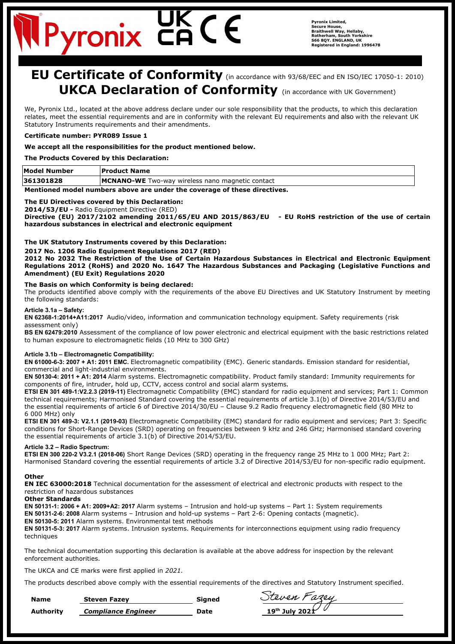## **EU Certificate of Conformity** (in accordance with 93/68/EEC and EN ISO/IEC 17050-1: 2010) **UKCA Declaration of Conformity** (in accordance with UK Government)

We, Pyronix Ltd., located at the above address declare under our sole responsibility that the products, to which this declaration relates, meet the essential requirements and are in conformity with the relevant EU requirements and also with the relevant UK Statutory Instruments requirements and their amendments.

## **Certificate number: PYR089 Issue 1**

#### **We accept all the responsibilities for the product mentioned below.**

**The Products Covered by this Declaration:**

| Model Number                                                             | <b>Product Name</b>                                     |  |
|--------------------------------------------------------------------------|---------------------------------------------------------|--|
| 361301828                                                                | <b>MCNANO-WE</b> Two-way wireless nano magnetic contact |  |
| Mantianad madal numbaya abaya aya unday tha sayayana af thasa diyastiyas |                                                         |  |

**Mentioned model numbers above are under the coverage of these directives.**

#### **The EU Directives covered by this Declaration:**

**2014/53/EU -** Radio Equipment Directive (RED)

**Directive (EU) 2017/2102 amending 2011/65/EU AND 2015/863/EU - EU RoHS restriction of the use of certain hazardous substances in electrical and electronic equipment**

#### **The UK Statutory Instruments covered by this Declaration:**

**2017 No. 1206 Radio Equipment Regulations 2017 (RED)**

**2012 No 2032 The Restriction of the Use of Certain Hazardous Substances in Electrical and Electronic Equipment Regulations 2012 (RoHS) and 2020 No. 1647 The Hazardous Substances and Packaging (Legislative Functions and Amendment) (EU Exit) Regulations 2020**

#### **The Basis on which Conformity is being declared:**

The products identified above comply with the requirements of the above EU Directives and UK Statutory Instrument by meeting the following standards:

#### **Article 3.1a – Safety:**

**EN 62368-1:2014+A11:2017** Audio/video, information and communication technology equipment. Safety requirements (risk assessment only)

**BS EN 62479:2010** Assessment of the compliance of low power electronic and electrical equipment with the basic restrictions related to human exposure to electromagnetic fields (10 MHz to 300 GHz)

#### **Article 3.1b – Electromagnetic Compatibility:**

**EN 61000-6-3: 2007 + A1: 2011 EMC.** Electromagnetic compatibility (EMC). Generic standards. Emission standard for residential, commercial and light-industrial environments.

**EN 50130-4: 2011 + A1: 2014** Alarm systems. Electromagnetic compatibility. Product family standard: Immunity requirements for components of fire, intruder, hold up, CCTV, access control and social alarm systems**.** 

**ETSI EN 301 489-1:V2.2.3 (2019-11)** Electromagnetic Compatibility (EMC) standard for radio equipment and services; Part 1: Common technical requirements; Harmonised Standard covering the essential requirements of article 3.1(b) of Directive 2014/53/EU and the essential requirements of article 6 of Directive 2014/30/EU – Clause 9.2 Radio frequency electromagnetic field (80 MHz to 6 000 MHz) only

**ETSI EN 301 489-3: V2.1.1 (2019-03)** Electromagnetic Compatibility (EMC) standard for radio equipment and services; Part 3: Specific conditions for Short-Range Devices (SRD) operating on frequencies between 9 kHz and 246 GHz; Harmonised standard covering the essential requirements of article 3.1(b) of Directive 2014/53/EU.

#### **Article 3.2 – Radio Spectrum:**

**ETSI EN 300 220-2 V3.2.1 (2018-06)** Short Range Devices (SRD) operating in the frequency range 25 MHz to 1 000 MHz; Part 2: Harmonised Standard covering the essential requirements of article 3.2 of Directive 2014/53/EU for non-specific radio equipment.

#### **Other**

**EN IEC 63000:2018** Technical documentation for the assessment of electrical and electronic products with respect to the restriction of hazardous substances

### **Other Standards**

**EN 50131-1: 2006 + A1: 2009+A2: 2017** Alarm systems – Intrusion and hold-up systems – Part 1: System requirements **EN 50131-2-6: 2008** Alarm systems – Intrusion and hold-up systems – Part 2-6: Opening contacts (magnetic). **EN 50130-5: 2011** Alarm systems. Environmental test methods

**EN 50131-5-3: 2017** Alarm systems. Intrusion systems. Requirements for interconnections equipment using radio frequency techniques

The technical documentation supporting this declaration is available at the above address for inspection by the relevant enforcement authorities.

The UKCA and CE marks were first applied in *2021.* 

The products described above comply with the essential requirements of the directives and Statutory Instrument specified.

| <b>Name</b> | <b>Steven Fazev</b>        | Sianed | Steven Fazey                      |
|-------------|----------------------------|--------|-----------------------------------|
| Authority   | <b>Compliance Engineer</b> | Date   | 19 <sup>th</sup> July 2021 $\sim$ |